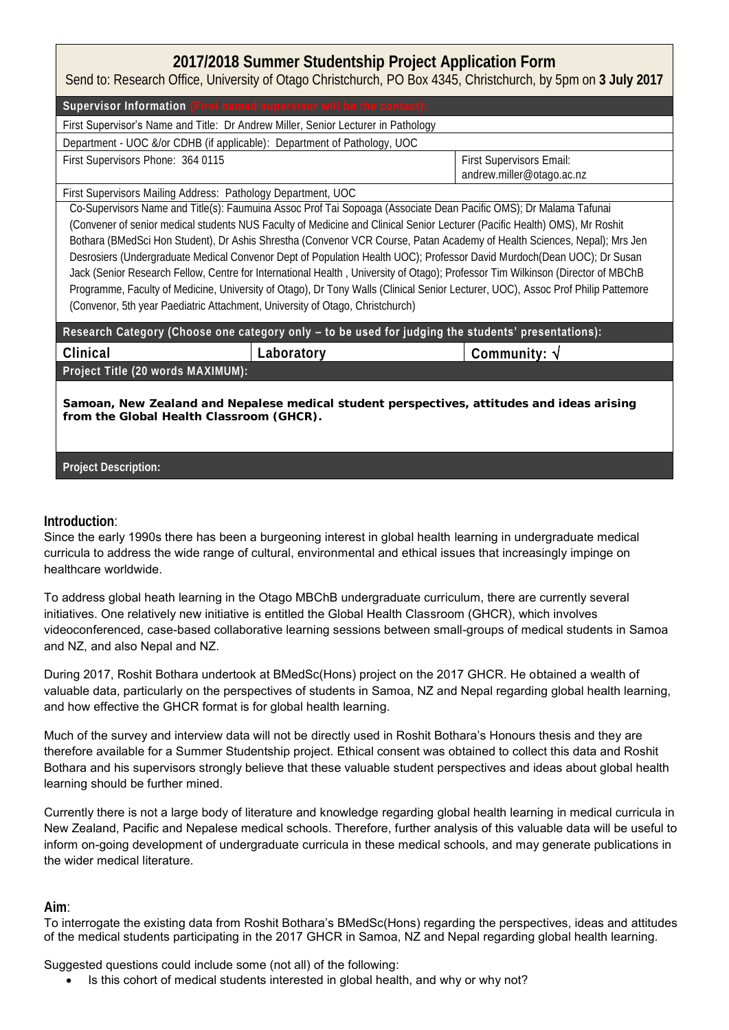## **2017/2018 Summer Studentship Project Application Form** Send to: Research Office, University of Otago Christchurch, PO Box 4345, Christchurch, by 5pm on **3 July 2017**

| Supervisor Information (First named supervisor will be the contact)                                                                                                                                                                                                                                                                                                                                                                                                                                                                                                                                                                                                                                                                                                                                                                                           |                                                       |  |  |  |  |
|---------------------------------------------------------------------------------------------------------------------------------------------------------------------------------------------------------------------------------------------------------------------------------------------------------------------------------------------------------------------------------------------------------------------------------------------------------------------------------------------------------------------------------------------------------------------------------------------------------------------------------------------------------------------------------------------------------------------------------------------------------------------------------------------------------------------------------------------------------------|-------------------------------------------------------|--|--|--|--|
| First Supervisor's Name and Title: Dr Andrew Miller, Senior Lecturer in Pathology                                                                                                                                                                                                                                                                                                                                                                                                                                                                                                                                                                                                                                                                                                                                                                             |                                                       |  |  |  |  |
| Department - UOC &/or CDHB (if applicable): Department of Pathology, UOC                                                                                                                                                                                                                                                                                                                                                                                                                                                                                                                                                                                                                                                                                                                                                                                      |                                                       |  |  |  |  |
| First Supervisors Phone: 364 0115                                                                                                                                                                                                                                                                                                                                                                                                                                                                                                                                                                                                                                                                                                                                                                                                                             | First Supervisors Email:<br>andrew.miller@otago.ac.nz |  |  |  |  |
| First Supervisors Mailing Address: Pathology Department, UOC                                                                                                                                                                                                                                                                                                                                                                                                                                                                                                                                                                                                                                                                                                                                                                                                  |                                                       |  |  |  |  |
| Co-Supervisors Name and Title(s): Faumuina Assoc Prof Tai Sopoaga (Associate Dean Pacific OMS); Dr Malama Tafunai<br>(Convener of senior medical students NUS Faculty of Medicine and Clinical Senior Lecturer (Pacific Health) OMS), Mr Roshit<br>Bothara (BMedSci Hon Student), Dr Ashis Shrestha (Convenor VCR Course, Patan Academy of Health Sciences, Nepal); Mrs Jen<br>Desrosiers (Undergraduate Medical Convenor Dept of Population Health UOC); Professor David Murdoch(Dean UOC); Dr Susan<br>Jack (Senior Research Fellow, Centre for International Health, University of Otago); Professor Tim Wilkinson (Director of MBChB<br>Programme, Faculty of Medicine, University of Otago), Dr Tony Walls (Clinical Senior Lecturer, UOC), Assoc Prof Philip Pattemore<br>(Convenor, 5th year Paediatric Attachment, University of Otago, Christchurch) |                                                       |  |  |  |  |
| Research Category (Choose one category only - to be used for judging the students' presentations):                                                                                                                                                                                                                                                                                                                                                                                                                                                                                                                                                                                                                                                                                                                                                            |                                                       |  |  |  |  |
| Laboratory<br>Clinical                                                                                                                                                                                                                                                                                                                                                                                                                                                                                                                                                                                                                                                                                                                                                                                                                                        | Community: $\sqrt{}$                                  |  |  |  |  |
| Project Title (20 words MAXIMUM):                                                                                                                                                                                                                                                                                                                                                                                                                                                                                                                                                                                                                                                                                                                                                                                                                             |                                                       |  |  |  |  |
| Samoan, New Zealand and Nepalese medical student perspectives, attitudes and ideas arising<br>from the Global Health Classroom (GHCR).                                                                                                                                                                                                                                                                                                                                                                                                                                                                                                                                                                                                                                                                                                                        |                                                       |  |  |  |  |
| Project Description:                                                                                                                                                                                                                                                                                                                                                                                                                                                                                                                                                                                                                                                                                                                                                                                                                                          |                                                       |  |  |  |  |

## **Introduction**:

Since the early 1990s there has been a burgeoning interest in global health learning in undergraduate medical curricula to address the wide range of cultural, environmental and ethical issues that increasingly impinge on healthcare worldwide.

To address global heath learning in the Otago MBChB undergraduate curriculum, there are currently several initiatives. One relatively new initiative is entitled the Global Health Classroom (GHCR), which involves videoconferenced, case-based collaborative learning sessions between small-groups of medical students in Samoa and NZ, and also Nepal and NZ.

During 2017, Roshit Bothara undertook at BMedSc(Hons) project on the 2017 GHCR. He obtained a wealth of valuable data, particularly on the perspectives of students in Samoa, NZ and Nepal regarding global health learning, and how effective the GHCR format is for global health learning.

Much of the survey and interview data will not be directly used in Roshit Bothara's Honours thesis and they are therefore available for a Summer Studentship project. Ethical consent was obtained to collect this data and Roshit Bothara and his supervisors strongly believe that these valuable student perspectives and ideas about global health learning should be further mined.

Currently there is not a large body of literature and knowledge regarding global health learning in medical curricula in New Zealand, Pacific and Nepalese medical schools. Therefore, further analysis of this valuable data will be useful to inform on-going development of undergraduate curricula in these medical schools, and may generate publications in the wider medical literature.

## **Aim**:

To interrogate the existing data from Roshit Bothara's BMedSc(Hons) regarding the perspectives, ideas and attitudes of the medical students participating in the 2017 GHCR in Samoa, NZ and Nepal regarding global health learning.

Suggested questions could include some (not all) of the following:

Is this cohort of medical students interested in global health, and why or why not?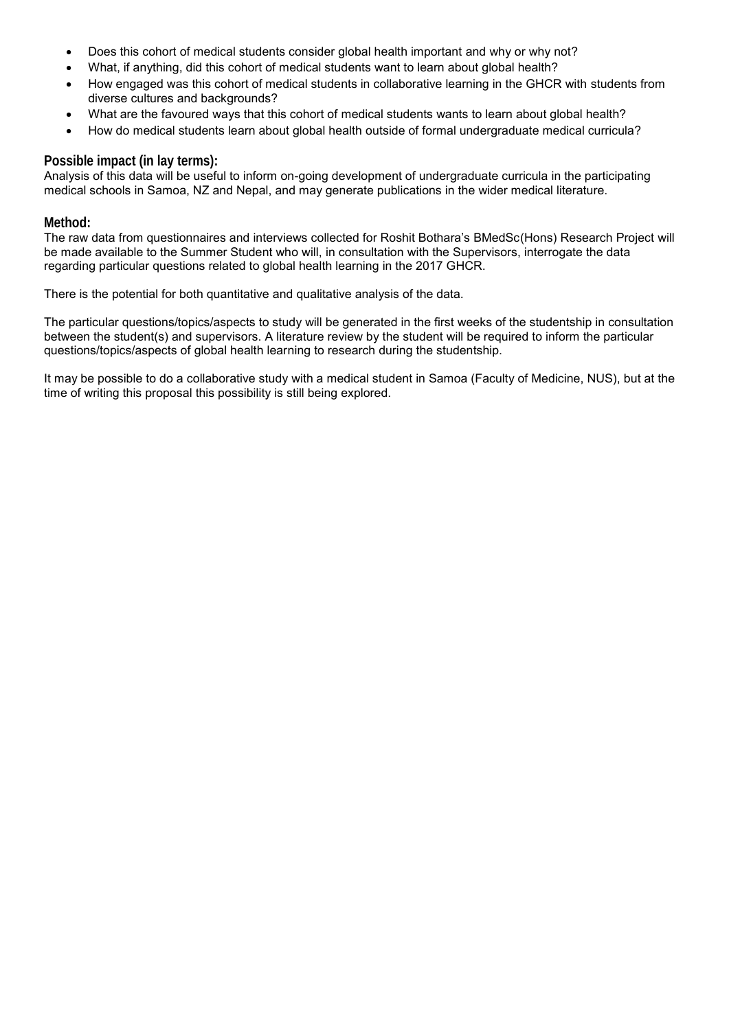- Does this cohort of medical students consider global health important and why or why not?
- What, if anything, did this cohort of medical students want to learn about global health?
- How engaged was this cohort of medical students in collaborative learning in the GHCR with students from diverse cultures and backgrounds?
- What are the favoured ways that this cohort of medical students wants to learn about global health?
- How do medical students learn about global health outside of formal undergraduate medical curricula?

## **Possible impact (in lay terms):**

Analysis of this data will be useful to inform on-going development of undergraduate curricula in the participating medical schools in Samoa, NZ and Nepal, and may generate publications in the wider medical literature.

#### **Method:**

The raw data from questionnaires and interviews collected for Roshit Bothara's BMedSc(Hons) Research Project will be made available to the Summer Student who will, in consultation with the Supervisors, interrogate the data regarding particular questions related to global health learning in the 2017 GHCR.

There is the potential for both quantitative and qualitative analysis of the data.

The particular questions/topics/aspects to study will be generated in the first weeks of the studentship in consultation between the student(s) and supervisors. A literature review by the student will be required to inform the particular questions/topics/aspects of global health learning to research during the studentship.

It may be possible to do a collaborative study with a medical student in Samoa (Faculty of Medicine, NUS), but at the time of writing this proposal this possibility is still being explored.